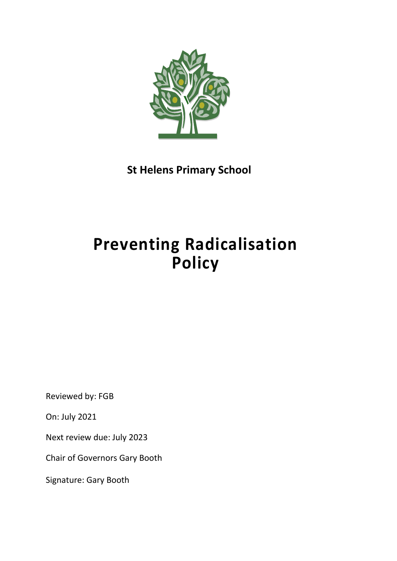

 **St Helens Primary School**

# **Preventing Radicalisation Policy**

Reviewed by: FGB

On: July 2021

Next review due: July 2023

Chair of Governors Gary Booth

Signature: Gary Booth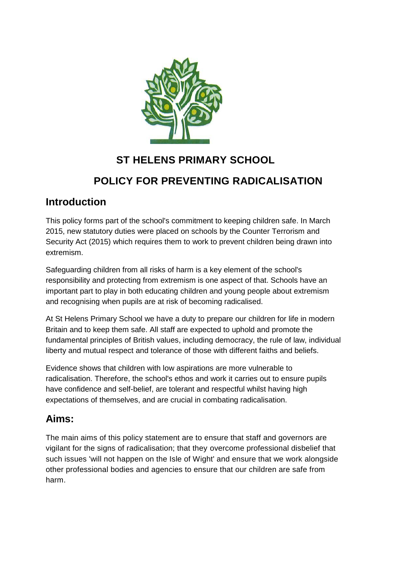

# **ST HELENS PRIMARY SCHOOL**

# **POLICY FOR PREVENTING RADICALISATION**

## **Introduction**

This policy forms part of the school's commitment to keeping children safe. In March 2015, new statutory duties were placed on schools by the Counter Terrorism and Security Act (2015) which requires them to work to prevent children being drawn into extremism.

Safeguarding children from all risks of harm is a key element of the school's responsibility and protecting from extremism is one aspect of that. Schools have an important part to play in both educating children and young people about extremism and recognising when pupils are at risk of becoming radicalised.

At St Helens Primary School we have a duty to prepare our children for life in modern Britain and to keep them safe. All staff are expected to uphold and promote the fundamental principles of British values, including democracy, the rule of law, individual liberty and mutual respect and tolerance of those with different faiths and beliefs.

Evidence shows that children with low aspirations are more vulnerable to radicalisation. Therefore, the school's ethos and work it carries out to ensure pupils have confidence and self-belief, are tolerant and respectful whilst having high expectations of themselves, and are crucial in combating radicalisation.

## **Aims:**

The main aims of this policy statement are to ensure that staff and governors are vigilant for the signs of radicalisation; that they overcome professional disbelief that such issues 'will not happen on the Isle of Wight' and ensure that we work alongside other professional bodies and agencies to ensure that our children are safe from harm.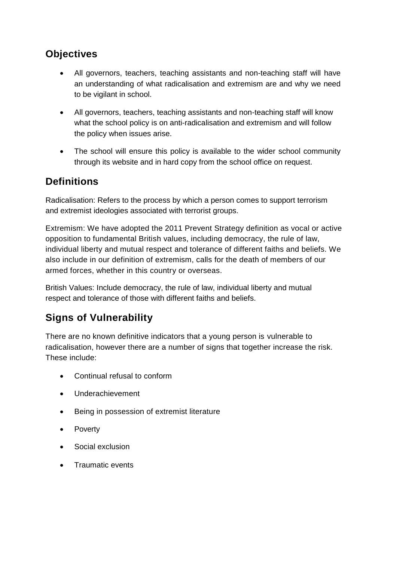## **Objectives**

- All governors, teachers, teaching assistants and non-teaching staff will have an understanding of what radicalisation and extremism are and why we need to be vigilant in school.
- All governors, teachers, teaching assistants and non-teaching staff will know what the school policy is on anti-radicalisation and extremism and will follow the policy when issues arise.
- The school will ensure this policy is available to the wider school community through its website and in hard copy from the school office on request.

## **Definitions**

Radicalisation: Refers to the process by which a person comes to support terrorism and extremist ideologies associated with terrorist groups.

Extremism: We have adopted the 2011 Prevent Strategy definition as vocal or active opposition to fundamental British values, including democracy, the rule of law, individual liberty and mutual respect and tolerance of different faiths and beliefs. We also include in our definition of extremism, calls for the death of members of our armed forces, whether in this country or overseas.

British Values: Include democracy, the rule of law, individual liberty and mutual respect and tolerance of those with different faiths and beliefs.

# **Signs of Vulnerability**

There are no known definitive indicators that a young person is vulnerable to radicalisation, however there are a number of signs that together increase the risk. These include:

- Continual refusal to conform
- Underachievement
- Being in possession of extremist literature
- Poverty
- Social exclusion
- Traumatic events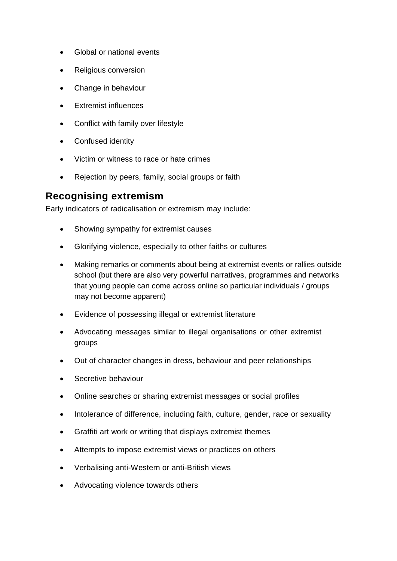- Global or national events
- Religious conversion
- Change in behaviour
- Extremist influences
- Conflict with family over lifestyle
- Confused identity
- Victim or witness to race or hate crimes
- Rejection by peers, family, social groups or faith

#### **Recognising extremism**

Early indicators of radicalisation or extremism may include:

- Showing sympathy for extremist causes
- Glorifying violence, especially to other faiths or cultures
- Making remarks or comments about being at extremist events or rallies outside school (but there are also very powerful narratives, programmes and networks that young people can come across online so particular individuals / groups may not become apparent)
- Evidence of possessing illegal or extremist literature
- Advocating messages similar to illegal organisations or other extremist groups
- Out of character changes in dress, behaviour and peer relationships
- Secretive behaviour
- Online searches or sharing extremist messages or social profiles
- Intolerance of difference, including faith, culture, gender, race or sexuality
- Graffiti art work or writing that displays extremist themes
- Attempts to impose extremist views or practices on others
- Verbalising anti-Western or anti-British views
- Advocating violence towards others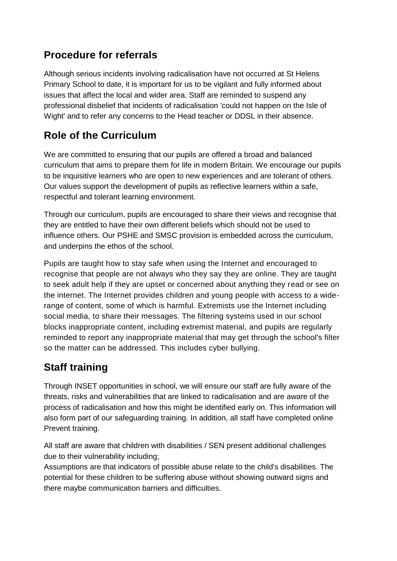## **Procedure for referrals**

Although serious incidents involving radicalisation have not occurred at St Helens Primary School to date, it is important for us to be vigilant and fully informed about issues that affect the local and wider area. Staff are reminded to suspend any professional disbelief that incidents of radicalisation 'could not happen on the Isle of Wight' and to refer any concerns to the Head teacher or DDSL in their absence.

## **Role of the Curriculum**

We are committed to ensuring that our pupils are offered a broad and balanced curriculum that aims to prepare them for life in modern Britain. We encourage our pupils to be inquisitive learners who are open to new experiences and are tolerant of others. Our values support the development of pupils as reflective learners within a safe, respectful and tolerant learning environment.

Through our curriculum, pupils are encouraged to share their views and recognise that they are entitled to have their own different beliefs which should not be used to influence others. Our PSHE and SMSC provision is embedded across the curriculum, and underpins the ethos of the school.

Pupils are taught how to stay safe when using the Internet and encouraged to recognise that people are not always who they say they are online. They are taught to seek adult help if they are upset or concerned about anything they read or see on the internet. The Internet provides children and young people with access to a widerange of content, some of which is harmful. Extremists use the Internet including social media, to share their messages. The filtering systems used in our school blocks inappropriate content, including extremist material, and pupils are regularly reminded to report any inappropriate material that may get through the school's filter so the matter can be addressed. This includes cyber bullying.

# **Staff training**

Through INSET opportunities in school, we will ensure our staff are fully aware of the threats, risks and vulnerabilities that are linked to radicalisation and are aware of the process of radicalisation and how this might be identified early on. This information will also form part of our safeguarding training. In addition, all staff have completed online Prevent training.

All staff are aware that children with disabilities / SEN present additional challenges due to their vulnerability including;

Assumptions are that indicators of possible abuse relate to the child's disabilities. The potential for these children to be suffering abuse without showing outward signs and there maybe communication barriers and difficulties.